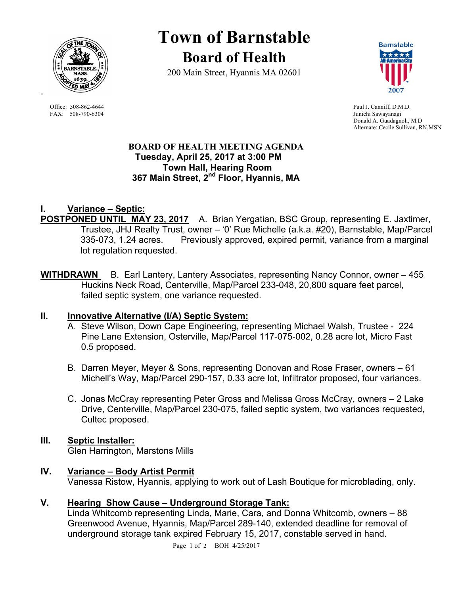

# **Town of Barnstable Board of Health**

200 Main Street, Hyannis MA 02601



Office: 508-862-4644 Paul J. Canniff, D.M.D.<br>
FAX: 508-790-6304 Junichi Sawayanagi Junichi Sawayanagi Donald A. Guadagnoli, M.D Alternate: Cecile Sullivan, RN,MSN

#### **BOARD OF HEALTH MEETING AGENDA Tuesday, April 25, 2017 at 3:00 PM Town Hall, Hearing Room 367 Main Street, 2nd Floor, Hyannis, MA**

## **I. Variance – Septic:**

**POSTPONED UNTIL MAY 23, 2017** A. Brian Yergatian, BSC Group, representing E. Jaxtimer, Trustee, JHJ Realty Trust, owner – '0' Rue Michelle (a.k.a. #20), Barnstable, Map/Parcel 335-073, 1.24 acres. Previously approved, expired permit, variance from a marginal lot regulation requested.

**WITHDRAWN** B.Earl Lantery, Lantery Associates, representing Nancy Connor, owner – 455 Huckins Neck Road, Centerville, Map/Parcel 233-048, 20,800 square feet parcel, failed septic system, one variance requested.

### **II. Innovative Alternative (I/A) Septic System:**

- A. Steve Wilson, Down Cape Engineering, representing Michael Walsh, Trustee 224 Pine Lane Extension, Osterville, Map/Parcel 117-075-002, 0.28 acre lot, Micro Fast 0.5 proposed.
- B. Darren Meyer, Meyer & Sons, representing Donovan and Rose Fraser, owners 61 Michell's Way, Map/Parcel 290-157, 0.33 acre lot, Infiltrator proposed, four variances.
- C. Jonas McCray representing Peter Gross and Melissa Gross McCray, owners 2 Lake Drive, Centerville, Map/Parcel 230-075, failed septic system, two variances requested, Cultec proposed.

## **III. Septic Installer:**

Glen Harrington, Marstons Mills

### **IV. Variance – Body Artist Permit**

Vanessa Ristow, Hyannis, applying to work out of Lash Boutique for microblading, only.

## **V. Hearing Show Cause – Underground Storage Tank:**

Linda Whitcomb representing Linda, Marie, Cara, and Donna Whitcomb, owners – 88 Greenwood Avenue, Hyannis, Map/Parcel 289-140, extended deadline for removal of underground storage tank expired February 15, 2017, constable served in hand.